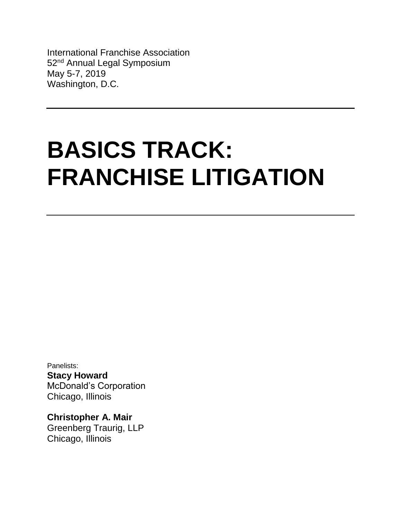International Franchise Association 52<sup>nd</sup> Annual Legal Symposium May 5-7, 2019 Washington, D.C.

# **BASICS TRACK: FRANCHISE LITIGATION**

Panelists: **Stacy Howard** McDonald's Corporation Chicago, Illinois

**Christopher A. Mair** Greenberg Traurig, LLP Chicago, Illinois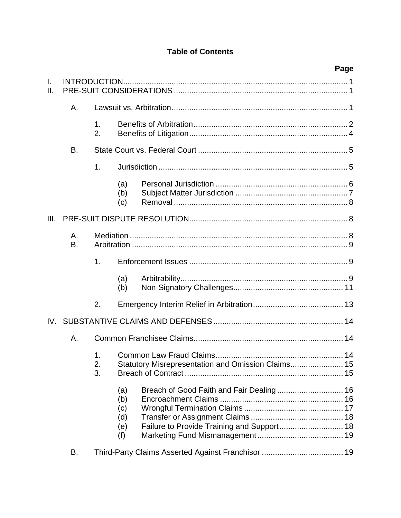# **Table of Contents**

|          |          |                      |                                                                                      | Page |  |  |  |
|----------|----------|----------------------|--------------------------------------------------------------------------------------|------|--|--|--|
| I.<br>Ш. |          |                      |                                                                                      |      |  |  |  |
|          | Α.       |                      |                                                                                      |      |  |  |  |
|          |          | $\mathbf{1}$ .<br>2. |                                                                                      |      |  |  |  |
|          | B.       |                      |                                                                                      |      |  |  |  |
|          |          | 1.                   |                                                                                      |      |  |  |  |
|          |          |                      | (a)<br>(b)<br>(c)                                                                    |      |  |  |  |
| III.     |          |                      |                                                                                      |      |  |  |  |
|          | Α.<br>B. |                      |                                                                                      |      |  |  |  |
|          |          | 1.                   |                                                                                      |      |  |  |  |
|          |          |                      | (a)<br>(b)                                                                           |      |  |  |  |
|          |          | 2.                   |                                                                                      |      |  |  |  |
|          |          |                      |                                                                                      |      |  |  |  |
|          | Α.       |                      |                                                                                      |      |  |  |  |
|          |          | 1.<br>2.<br>3.       | Common Law Fraud Claims.<br>14<br>Statutory Misrepresentation and Omission Claims 15 |      |  |  |  |
|          |          |                      | (a)<br>(b)<br>(c)<br>(d)<br>(e)<br>(f)                                               |      |  |  |  |
|          | В.       |                      |                                                                                      |      |  |  |  |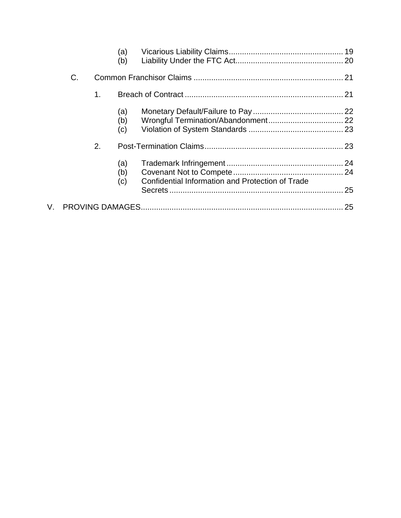|    |    |    | (a)<br>(b)        |                                                  |  |  |
|----|----|----|-------------------|--------------------------------------------------|--|--|
|    | C. |    |                   |                                                  |  |  |
|    |    | 1. |                   |                                                  |  |  |
|    |    |    | (a)<br>(b)<br>(c) |                                                  |  |  |
|    |    | 2. |                   |                                                  |  |  |
|    |    |    | (a)<br>(b)<br>(c) | Confidential Information and Protection of Trade |  |  |
| V. |    |    |                   |                                                  |  |  |
|    |    |    |                   |                                                  |  |  |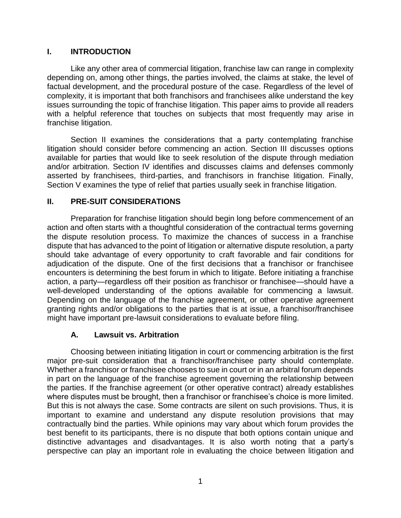## <span id="page-3-0"></span>**I. INTRODUCTION**

Like any other area of commercial litigation, franchise law can range in complexity depending on, among other things, the parties involved, the claims at stake, the level of factual development, and the procedural posture of the case. Regardless of the level of complexity, it is important that both franchisors and franchisees alike understand the key issues surrounding the topic of franchise litigation. This paper aims to provide all readers with a helpful reference that touches on subjects that most frequently may arise in franchise litigation.

Section II examines the considerations that a party contemplating franchise litigation should consider before commencing an action. Section III discusses options available for parties that would like to seek resolution of the dispute through mediation and/or arbitration. Section IV identifies and discusses claims and defenses commonly asserted by franchisees, third-parties, and franchisors in franchise litigation. Finally, Section V examines the type of relief that parties usually seek in franchise litigation.

#### <span id="page-3-1"></span>**II. PRE-SUIT CONSIDERATIONS**

Preparation for franchise litigation should begin long before commencement of an action and often starts with a thoughtful consideration of the contractual terms governing the dispute resolution process. To maximize the chances of success in a franchise dispute that has advanced to the point of litigation or alternative dispute resolution, a party should take advantage of every opportunity to craft favorable and fair conditions for adjudication of the dispute. One of the first decisions that a franchisor or franchisee encounters is determining the best forum in which to litigate. Before initiating a franchise action, a party—regardless off their position as franchisor or franchisee—should have a well-developed understanding of the options available for commencing a lawsuit. Depending on the language of the franchise agreement, or other operative agreement granting rights and/or obligations to the parties that is at issue, a franchisor/franchisee might have important pre-lawsuit considerations to evaluate before filing.

#### **A. Lawsuit vs. Arbitration**

<span id="page-3-2"></span>Choosing between initiating litigation in court or commencing arbitration is the first major pre-suit consideration that a franchisor/franchisee party should contemplate. Whether a franchisor or franchisee chooses to sue in court or in an arbitral forum depends in part on the language of the franchise agreement governing the relationship between the parties. If the franchise agreement (or other operative contract) already establishes where disputes must be brought, then a franchisor or franchisee's choice is more limited. But this is not always the case. Some contracts are silent on such provisions. Thus, it is important to examine and understand any dispute resolution provisions that may contractually bind the parties. While opinions may vary about which forum provides the best benefit to its participants, there is no dispute that both options contain unique and distinctive advantages and disadvantages. It is also worth noting that a party's perspective can play an important role in evaluating the choice between litigation and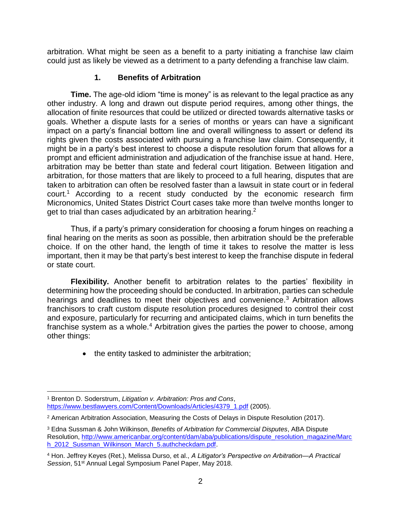arbitration. What might be seen as a benefit to a party initiating a franchise law claim could just as likely be viewed as a detriment to a party defending a franchise law claim.

## **1. Benefits of Arbitration**

<span id="page-4-0"></span>**Time.** The age-old idiom "time is money" is as relevant to the legal practice as any other industry. A long and drawn out dispute period requires, among other things, the allocation of finite resources that could be utilized or directed towards alternative tasks or goals. Whether a dispute lasts for a series of months or years can have a significant impact on a party's financial bottom line and overall willingness to assert or defend its rights given the costs associated with pursuing a franchise law claim. Consequently, it might be in a party's best interest to choose a dispute resolution forum that allows for a prompt and efficient administration and adjudication of the franchise issue at hand. Here, arbitration may be better than state and federal court litigation. Between litigation and arbitration, for those matters that are likely to proceed to a full hearing, disputes that are taken to arbitration can often be resolved faster than a lawsuit in state court or in federal court.<sup>1</sup> According to a recent study conducted by the economic research firm Micronomics, United States District Court cases take more than twelve months longer to get to trial than cases adjudicated by an arbitration hearing.<sup>2</sup>

Thus, if a party's primary consideration for choosing a forum hinges on reaching a final hearing on the merits as soon as possible, then arbitration should be the preferable choice. If on the other hand, the length of time it takes to resolve the matter is less important, then it may be that party's best interest to keep the franchise dispute in federal or state court.

**Flexibility.** Another benefit to arbitration relates to the parties' flexibility in determining how the proceeding should be conducted. In arbitration, parties can schedule hearings and deadlines to meet their objectives and convenience.<sup>3</sup> Arbitration allows franchisors to craft custom dispute resolution procedures designed to control their cost and exposure, particularly for recurring and anticipated claims, which in turn benefits the franchise system as a whole.<sup>4</sup> Arbitration gives the parties the power to choose, among other things:

• the entity tasked to administer the arbitration;

 $\overline{a}$ <sup>1</sup> Brenton D. Soderstrum, *Litigation v. Arbitration: Pros and Cons*, [https://www.bestlawyers.com/Content/Downloads/Articles/4379\\_1.pdf](https://www.bestlawyers.com/Content/Downloads/Articles/4379_1.pdf) (2005).

<sup>2</sup> American Arbitration Association, Measuring the Costs of Delays in Dispute Resolution (2017).

<sup>3</sup> Edna Sussman & John Wilkinson, *Benefits of Arbitration for Commercial Disputes*, ABA Dispute Resolution, [http://www.americanbar.org/content/dam/aba/publications/dispute\\_resolution\\_magazine/Marc](http://www.americanbar.org/content/dam/aba/publications/dispute_resolution_magazine/March_2012_Sussman_Wilkinson_March_5.authcheckdam.pdf) [h\\_2012\\_Sussman\\_Wilkinson\\_March\\_5.authcheckdam.pdf.](http://www.americanbar.org/content/dam/aba/publications/dispute_resolution_magazine/March_2012_Sussman_Wilkinson_March_5.authcheckdam.pdf)

<sup>4</sup> Hon. Jeffrey Keyes (Ret.), Melissa Durso, et al., *A Litigator's Perspective on Arbitration—A Practical*  Session, 51<sup>st</sup> Annual Legal Symposium Panel Paper, May 2018.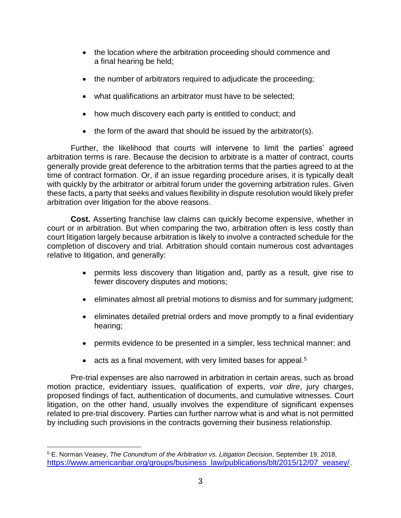- the location where the arbitration proceeding should commence and a final hearing be held;
- the number of arbitrators required to adjudicate the proceeding;
- what qualifications an arbitrator must have to be selected;
- how much discovery each party is entitled to conduct; and
- the form of the award that should be issued by the arbitrator(s).

Further, the likelihood that courts will intervene to limit the parties' agreed arbitration terms is rare. Because the decision to arbitrate is a matter of contract, courts generally provide great deference to the arbitration terms that the parties agreed to at the time of contract formation. Or, if an issue regarding procedure arises, it is typically dealt with quickly by the arbitrator or arbitral forum under the governing arbitration rules. Given these facts, a party that seeks and values flexibility in dispute resolution would likely prefer arbitration over litigation for the above reasons.

**Cost.** Asserting franchise law claims can quickly become expensive, whether in court or in arbitration. But when comparing the two, arbitration often is less costly than court litigation largely because arbitration is likely to involve a contracted schedule for the completion of discovery and trial. Arbitration should contain numerous cost advantages relative to litigation, and generally:

- permits less discovery than litigation and, partly as a result, give rise to fewer discovery disputes and motions;
- eliminates almost all pretrial motions to dismiss and for summary judgment;
- eliminates detailed pretrial orders and move promptly to a final evidentiary hearing;
- permits evidence to be presented in a simpler, less technical manner; and
- acts as a final movement, with very limited bases for appeal.<sup>5</sup>

Pre-trial expenses are also narrowed in arbitration in certain areas, such as broad motion practice, evidentiary issues, qualification of experts, *voir dire*, jury charges, proposed findings of fact, authentication of documents, and cumulative witnesses. Court litigation, on the other hand, usually involves the expenditure of significant expenses related to pre-trial discovery. Parties can further narrow what is and what is not permitted by including such provisions in the contracts governing their business relationship.

<sup>5</sup> E. Norman Veasey, *The Conundrum of the Arbitration vs. Litigation Decision*, September 19, 2018, [https://www.americanbar.org/groups/business\\_law/publications/blt/2015/12/07\\_veasey/.](https://www.americanbar.org/groups/business_law/publications/blt/2015/12/07_veasey/)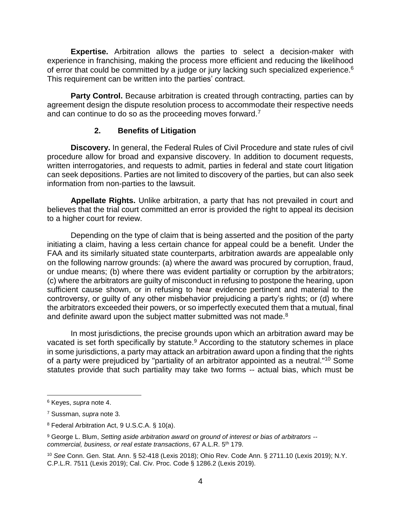**Expertise.** Arbitration allows the parties to select a decision-maker with experience in franchising, making the process more efficient and reducing the likelihood of error that could be committed by a judge or jury lacking such specialized experience.<sup>6</sup> This requirement can be written into the parties' contract.

**Party Control.** Because arbitration is created through contracting, parties can by agreement design the dispute resolution process to accommodate their respective needs and can continue to do so as the proceeding moves forward.<sup>7</sup>

#### **2. Benefits of Litigation**

<span id="page-6-0"></span>**Discovery.** In general, the Federal Rules of Civil Procedure and state rules of civil procedure allow for broad and expansive discovery. In addition to document requests, written interrogatories, and requests to admit, parties in federal and state court litigation can seek depositions. Parties are not limited to discovery of the parties, but can also seek information from non-parties to the lawsuit.

**Appellate Rights.** Unlike arbitration, a party that has not prevailed in court and believes that the trial court committed an error is provided the right to appeal its decision to a higher court for review.

Depending on the type of claim that is being asserted and the position of the party initiating a claim, having a less certain chance for appeal could be a benefit. Under the FAA and its similarly situated state counterparts, arbitration awards are appealable only on the following narrow grounds: (a) where the award was procured by corruption, fraud, or undue means; (b) where there was evident partiality or corruption by the arbitrators; (c) where the arbitrators are guilty of misconduct in refusing to postpone the hearing, upon sufficient cause shown, or in refusing to hear evidence pertinent and material to the controversy, or guilty of any other misbehavior prejudicing a party's rights; or (d) where the arbitrators exceeded their powers, or so imperfectly executed them that a mutual, final and definite award upon the subject matter submitted was not made.<sup>8</sup>

In most jurisdictions, the precise grounds upon which an arbitration award may be vacated is set forth specifically by statute.<sup>9</sup> According to the statutory schemes in place in some jurisdictions, a party may attack an arbitration award upon a finding that the rights of a party were prejudiced by "partiality of an arbitrator appointed as a neutral."<sup>10</sup> Some statutes provide that such partiality may take two forms -- actual bias, which must be

<sup>6</sup> Keyes, *supra* note 4.

<sup>7</sup> Sussman, *supra* note 3.

<sup>8</sup> Federal Arbitration Act, 9 U.S.C.A. § 10(a).

<sup>9</sup> George L. Blum, *Setting aside arbitration award on ground of interest or bias of arbitrators - commercial, business, or real estate transactions*, 67 A.L.R. 5th 179.

<sup>10</sup> *See* Conn. Gen. Stat. Ann. § 52-418 (Lexis 2018); Ohio Rev. Code Ann. § 2711.10 (Lexis 2019); N.Y. C.P.L.R. 7511 (Lexis 2019); Cal. Civ. Proc. Code § 1286.2 (Lexis 2019).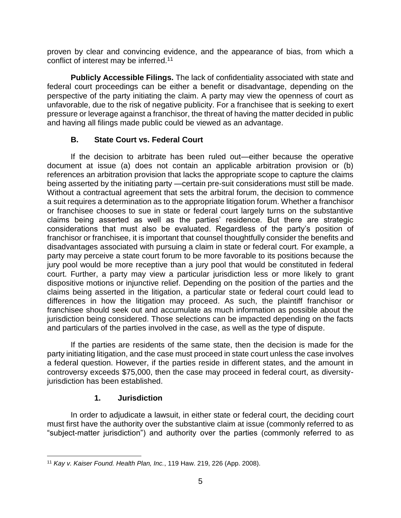proven by clear and convincing evidence, and the appearance of bias, from which a conflict of interest may be inferred.<sup>11</sup>

**Publicly Accessible Filings.** The lack of confidentiality associated with state and federal court proceedings can be either a benefit or disadvantage, depending on the perspective of the party initiating the claim. A party may view the openness of court as unfavorable, due to the risk of negative publicity. For a franchisee that is seeking to exert pressure or leverage against a franchisor, the threat of having the matter decided in public and having all filings made public could be viewed as an advantage.

## **B. State Court vs. Federal Court**

<span id="page-7-0"></span>If the decision to arbitrate has been ruled out—either because the operative document at issue (a) does not contain an applicable arbitration provision or (b) references an arbitration provision that lacks the appropriate scope to capture the claims being asserted by the initiating party —certain pre-suit considerations must still be made. Without a contractual agreement that sets the arbitral forum, the decision to commence a suit requires a determination as to the appropriate litigation forum. Whether a franchisor or franchisee chooses to sue in state or federal court largely turns on the substantive claims being asserted as well as the parties' residence. But there are strategic considerations that must also be evaluated. Regardless of the party's position of franchisor or franchisee, it is important that counsel thoughtfully consider the benefits and disadvantages associated with pursuing a claim in state or federal court. For example, a party may perceive a state court forum to be more favorable to its positions because the jury pool would be more receptive than a jury pool that would be constituted in federal court. Further, a party may view a particular jurisdiction less or more likely to grant dispositive motions or injunctive relief. Depending on the position of the parties and the claims being asserted in the litigation, a particular state or federal court could lead to differences in how the litigation may proceed. As such, the plaintiff franchisor or franchisee should seek out and accumulate as much information as possible about the jurisdiction being considered. Those selections can be impacted depending on the facts and particulars of the parties involved in the case, as well as the type of dispute.

If the parties are residents of the same state, then the decision is made for the party initiating litigation, and the case must proceed in state court unless the case involves a federal question. However, if the parties reside in different states, and the amount in controversy exceeds \$75,000, then the case may proceed in federal court, as diversityjurisdiction has been established.

#### **1. Jurisdiction**

<span id="page-7-1"></span>In order to adjudicate a lawsuit, in either state or federal court, the deciding court must first have the authority over the substantive claim at issue (commonly referred to as "subject-matter jurisdiction") and authority over the parties (commonly referred to as

 $\overline{a}$ <sup>11</sup> *Kay v. Kaiser Found. Health Plan, Inc.*, 119 Haw. 219, 226 (App. 2008).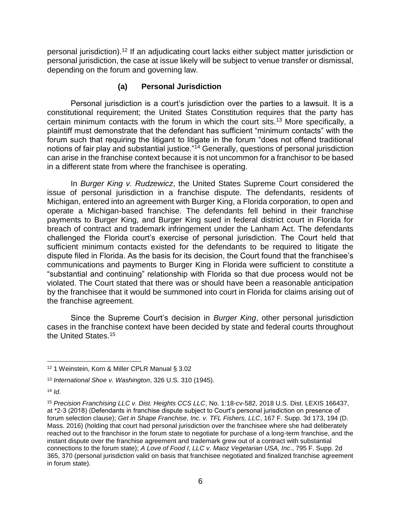personal jurisdiction).<sup>12</sup> If an adjudicating court lacks either subject matter jurisdiction or personal jurisdiction, the case at issue likely will be subject to venue transfer or dismissal, depending on the forum and governing law.

#### **(a) Personal Jurisdiction**

<span id="page-8-0"></span>Personal jurisdiction is a court's jurisdiction over the parties to a lawsuit. It is a constitutional requirement; the United States Constitution requires that the party has certain minimum contacts with the forum in which the court sits.<sup>13</sup> More specifically, a plaintiff must demonstrate that the defendant has sufficient "minimum contacts" with the forum such that requiring the litigant to litigate in the forum "does not offend traditional notions of fair play and substantial justice."<sup>14</sup> Generally, questions of personal jurisdiction can arise in the franchise context because it is not uncommon for a franchisor to be based in a different state from where the franchisee is operating.

In *Burger King v. Rudzewicz*, the United States Supreme Court considered the issue of personal jurisdiction in a franchise dispute. The defendants, residents of Michigan, entered into an agreement with Burger King, a Florida corporation, to open and operate a Michigan-based franchise. The defendants fell behind in their franchise payments to Burger King, and Burger King sued in federal district court in Florida for breach of contract and trademark infringement under the Lanham Act. The defendants challenged the Florida court's exercise of personal jurisdiction. The Court held that sufficient minimum contacts existed for the defendants to be required to litigate the dispute filed in Florida. As the basis for its decision, the Court found that the franchisee's communications and payments to Burger King in Florida were sufficient to constitute a "substantial and continuing" relationship with Florida so that due process would not be violated. The Court stated that there was or should have been a reasonable anticipation by the franchisee that it would be summoned into court in Florida for claims arising out of the franchise agreement.

Since the Supreme Court's decision in *Burger King*, other personal jurisdiction cases in the franchise context have been decided by state and federal courts throughout the United States.<sup>15</sup>

<sup>12</sup> 1 Weinstein, Korn & Miller CPLR Manual § 3.02

<sup>13</sup> *International Shoe v. Washington*, 326 U.S. 310 (1945).

 $14$  *Id.* 

<sup>15</sup> *Precision Franchising LLC v. Dist. Heights CCS LLC*, No. 1:18-cv-582, 2018 U.S. Dist. LEXIS 166437, at \*2-3 (2018) (Defendants in franchise dispute subject to Court's personal jurisdiction on presence of forum selection clause); *Get in Shape Franchise, Inc. v. TFL Fishers, LLC*, 167 F. Supp. 3d 173, 194 (D. Mass. 2016) (holding that court had personal jurisdiction over the franchisee where she had deliberately reached out to the franchisor in the forum state to negotiate for purchase of a long-term franchise, and the instant dispute over the franchise agreement and trademark grew out of a contract with substantial connections to the forum state); *A Love of Food I, LLC v. Maoz Vegetarian USA, Inc*., 795 F. Supp. 2d 365, 370 (personal jurisdiction valid on basis that franchisee negotiated and finalized franchise agreement in forum state).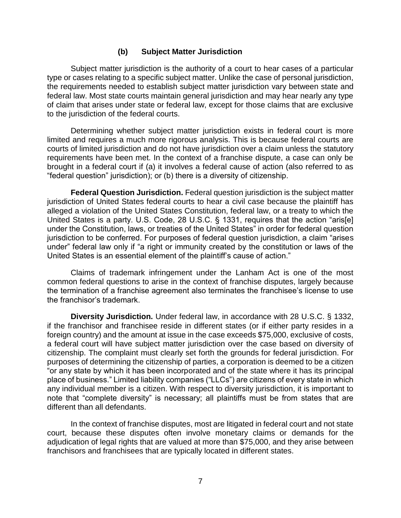#### **(b) Subject Matter Jurisdiction**

<span id="page-9-0"></span>Subject matter jurisdiction is the authority of a court to hear cases of a particular type or cases relating to a specific subject matter. Unlike the case of personal jurisdiction, the requirements needed to establish subject matter jurisdiction vary between state and federal law. Most state courts maintain general jurisdiction and may hear nearly any type of claim that arises under state or federal law, except for those claims that are exclusive to the jurisdiction of the federal courts.

Determining whether subject matter jurisdiction exists in federal court is more limited and requires a much more rigorous analysis. This is because federal courts are courts of limited jurisdiction and do not have jurisdiction over a claim unless the statutory requirements have been met. In the context of a franchise dispute, a case can only be brought in a federal court if (a) it involves a federal cause of action (also referred to as "federal question" jurisdiction); or (b) there is a diversity of citizenship.

**Federal Question Jurisdiction.** Federal question jurisdiction is the subject matter jurisdiction of United States federal courts to hear a civil case because the plaintiff has alleged a violation of the United States Constitution, federal law, or a treaty to which the United States is a party. U.S. Code, 28 U.S.C. § 1331, requires that the action "aris[e] under the Constitution, laws, or treaties of the United States" in order for federal question jurisdiction to be conferred. For purposes of federal question jurisdiction, a claim "arises under" federal law only if "a right or immunity created by the constitution or laws of the United States is an essential element of the plaintiff's cause of action."

Claims of trademark infringement under the Lanham Act is one of the most common federal questions to arise in the context of franchise disputes, largely because the termination of a franchise agreement also terminates the franchisee's license to use the franchisor's trademark.

**Diversity Jurisdiction.** Under federal law, in accordance with 28 U.S.C. § 1332, if the franchisor and franchisee reside in different states (or if either party resides in a foreign country) and the amount at issue in the case exceeds \$75,000, exclusive of costs, a federal court will have subject matter jurisdiction over the case based on diversity of citizenship. The complaint must clearly set forth the grounds for federal jurisdiction. For purposes of determining the citizenship of parties, a corporation is deemed to be a citizen "or any state by which it has been incorporated and of the state where it has its principal place of business." Limited liability companies ("LLCs") are citizens of every state in which any individual member is a citizen. With respect to diversity jurisdiction, it is important to note that "complete diversity" is necessary; all plaintiffs must be from states that are different than all defendants.

In the context of franchise disputes, most are litigated in federal court and not state court, because these disputes often involve monetary claims or demands for the adjudication of legal rights that are valued at more than \$75,000, and they arise between franchisors and franchisees that are typically located in different states.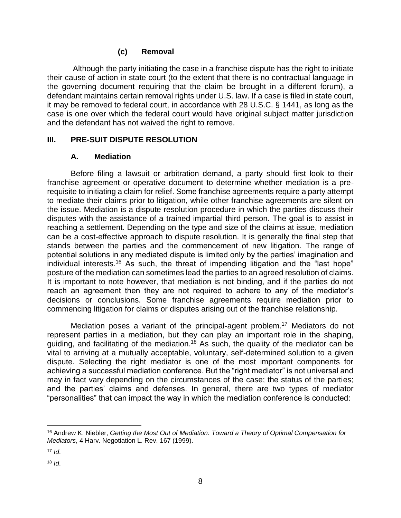#### **(c) Removal**

<span id="page-10-0"></span>Although the party initiating the case in a franchise dispute has the right to initiate their cause of action in state court (to the extent that there is no contractual language in the governing document requiring that the claim be brought in a different forum), a defendant maintains certain removal rights under U.S. law. If a case is filed in state court, it may be removed to federal court, in accordance with 28 U.S.C. § 1441, as long as the case is one over which the federal court would have original subject matter jurisdiction and the defendant has not waived the right to remove.

#### <span id="page-10-1"></span>**III. PRE-SUIT DISPUTE RESOLUTION**

#### **A. Mediation**

<span id="page-10-2"></span>Before filing a lawsuit or arbitration demand, a party should first look to their franchise agreement or operative document to determine whether mediation is a prerequisite to initiating a claim for relief. Some franchise agreements require a party attempt to mediate their claims prior to litigation, while other franchise agreements are silent on the issue. Mediation is a dispute resolution procedure in which the parties discuss their disputes with the assistance of a trained impartial third person. The goal is to assist in reaching a settlement. Depending on the type and size of the claims at issue, mediation can be a cost-effective approach to dispute resolution. It is generally the final step that stands between the parties and the commencement of new litigation. The range of potential solutions in any mediated dispute is limited only by the parties' imagination and individual interests.<sup>16</sup> As such, the threat of impending litigation and the "last hope" posture of the mediation can sometimes lead the parties to an agreed resolution of claims. It is important to note however, that mediation is not binding, and if the parties do not reach an agreement then they are not required to adhere to any of the mediator's decisions or conclusions. Some franchise agreements require mediation prior to commencing litigation for claims or disputes arising out of the franchise relationship.

Mediation poses a variant of the principal-agent problem.<sup>17</sup> Mediators do not represent parties in a mediation, but they can play an important role in the shaping, guiding, and facilitating of the mediation.<sup>18</sup> As such, the quality of the mediator can be vital to arriving at a mutually acceptable, voluntary, self-determined solution to a given dispute. Selecting the right mediator is one of the most important components for achieving a successful mediation conference. But the "right mediator" is not universal and may in fact vary depending on the circumstances of the case; the status of the parties; and the parties' claims and defenses. In general, there are two types of mediator "personalities" that can impact the way in which the mediation conference is conducted:

 $\overline{a}$ <sup>16</sup> Andrew K. Niebler, *Getting the Most Out of Mediation: Toward a Theory of Optimal Compensation for Mediators*, 4 Harv. Negotiation L. Rev. 167 (1999).

 $17$  *Id.* 

<sup>18</sup> *Id*.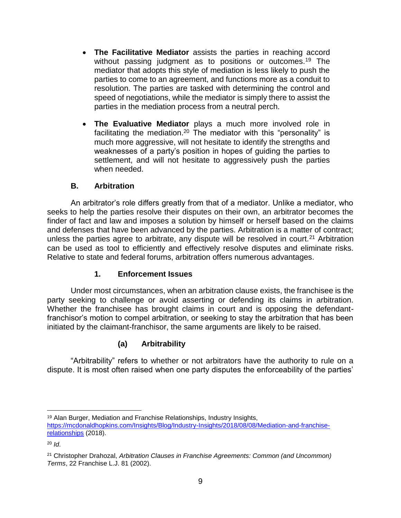- **The Facilitative Mediator** assists the parties in reaching accord without passing judgment as to positions or outcomes.<sup>19</sup> The mediator that adopts this style of mediation is less likely to push the parties to come to an agreement, and functions more as a conduit to resolution. The parties are tasked with determining the control and speed of negotiations, while the mediator is simply there to assist the parties in the mediation process from a neutral perch.
- **The Evaluative Mediator** plays a much more involved role in facilitating the mediation.<sup>20</sup> The mediator with this "personality" is much more aggressive, will not hesitate to identify the strengths and weaknesses of a party's position in hopes of guiding the parties to settlement, and will not hesitate to aggressively push the parties when needed.

# **B. Arbitration**

<span id="page-11-0"></span>An arbitrator's role differs greatly from that of a mediator. Unlike a mediator, who seeks to help the parties resolve their disputes on their own, an arbitrator becomes the finder of fact and law and imposes a solution by himself or herself based on the claims and defenses that have been advanced by the parties. Arbitration is a matter of contract; unless the parties agree to arbitrate, any dispute will be resolved in court.<sup>21</sup> Arbitration can be used as tool to efficiently and effectively resolve disputes and eliminate risks. Relative to state and federal forums, arbitration offers numerous advantages.

## **1. Enforcement Issues**

<span id="page-11-1"></span>Under most circumstances, when an arbitration clause exists, the franchisee is the party seeking to challenge or avoid asserting or defending its claims in arbitration. Whether the franchisee has brought claims in court and is opposing the defendantfranchisor's motion to compel arbitration, or seeking to stay the arbitration that has been initiated by the claimant-franchisor, the same arguments are likely to be raised.

# **(a) Arbitrability**

<span id="page-11-2"></span>"Arbitrability" refers to whether or not arbitrators have the authority to rule on a dispute. It is most often raised when one party disputes the enforceability of the parties'

 $\overline{a}$ <sup>19</sup> Alan Burger, Mediation and Franchise Relationships, Industry Insights, [https://mcdonaldhopkins.com/Insights/Blog/Industry-Insights/2018/08/08/Mediation-and-franchise](https://mcdonaldhopkins.com/Insights/Blog/Industry-Insights/2018/08/08/Mediation-and-franchise-relationships)[relationships](https://mcdonaldhopkins.com/Insights/Blog/Industry-Insights/2018/08/08/Mediation-and-franchise-relationships) (2018).

<sup>20</sup> *Id*.

<sup>21</sup> Christopher Drahozal, *Arbitration Clauses in Franchise Agreements: Common (and Uncommon) Terms*, 22 Franchise L.J. 81 (2002).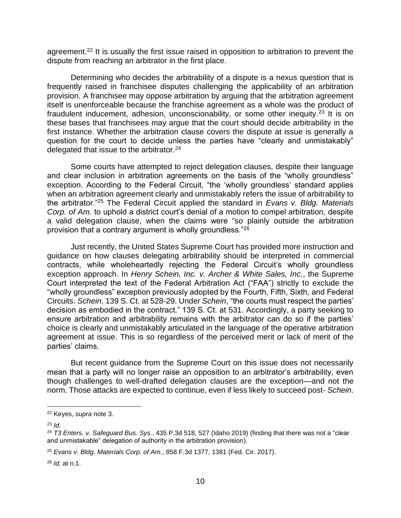agreement.<sup>22</sup> It is usually the first issue raised in opposition to arbitration to prevent the dispute from reaching an arbitrator in the first place.

Determining who decides the arbitrability of a dispute is a nexus question that is frequently raised in franchisee disputes challenging the applicability of an arbitration provision. A franchisee may oppose arbitration by arguing that the arbitration agreement itself is unenforceable because the franchise agreement as a whole was the product of fraudulent inducement, adhesion, unconscionability, or some other inequity.<sup>23</sup> It is on these bases that franchisees may argue that the court should decide arbitrability in the first instance. Whether the arbitration clause covers the dispute at issue is generally a question for the court to decide unless the parties have "clearly and unmistakably" delegated that issue to the arbitrator.<sup>24</sup>

Some courts have attempted to reject delegation clauses, despite their language and clear inclusion in arbitration agreements on the basis of the "wholly groundless" exception. According to the Federal Circuit, "the 'wholly groundless' standard applies when an arbitration agreement clearly and unmistakably refers the issue of arbitrability to the arbitrator."<sup>25</sup> The Federal Circuit applied the standard in *Evans v. Bldg. Materials Corp. of Am.* to uphold a district court's denial of a motion to compel arbitration, despite a valid delegation clause, when the claims were "so plainly outside the arbitration provision that a contrary argument is wholly groundless."<sup>26</sup>

Just recently, the United States Supreme Court has provided more instruction and guidance on how clauses delegating arbitrability should be interpreted in commercial contracts, while wholeheartedly rejecting the Federal Circuit's wholly groundless exception approach. In *Henry Schein, Inc. v. Archer & White Sales, Inc.*, the Supreme Court interpreted the text of the Federal Arbitration Act ("FAA") strictly to exclude the "wholly groundless" exception previously adopted by the Fourth, Fifth, Sixth, and Federal Circuits. *Schein*, 139 S. Ct. at 528-29. Under *Schein*, "the courts must respect the parties' decision as embodied in the contract." 139 S. Ct. at 531. Accordingly, a party seeking to ensure arbitration and arbitrability remains with the arbitrator can do so if the parties' choice is clearly and unmistakably articulated in the language of the operative arbitration agreement at issue. This is so regardless of the perceived merit or lack of merit of the parties' claims.

But recent guidance from the Supreme Court on this issue does not necessarily mean that a party will no longer raise an opposition to an arbitrator's arbitrability, even though challenges to well-drafted delegation clauses are the exception—and not the norm. Those attacks are expected to continue, even if less likely to succeed post- *Schein*.

<sup>23</sup> *Id*.

<sup>22</sup> Keyes, *supra* note 3.

<sup>24</sup> *T3 Enters. v. Safeguard Bus. Sys.*, 435 P.3d 518, 527 (Idaho 2019) (finding that there was not a "clear and unmistakable" delegation of authority in the arbitration provision).

<sup>25</sup> *Evans v. Bldg. Materials Corp. of Am.*, 858 F.3d 1377, 1381 (Fed. Cir. 2017).

<sup>26</sup> *Id.* at n.1.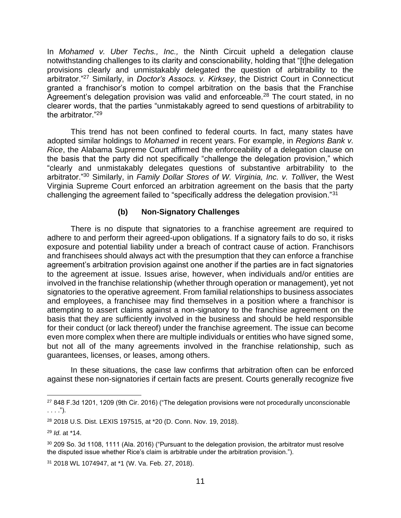In *Mohamed v. Uber Techs., Inc.,* the Ninth Circuit upheld a delegation clause notwithstanding challenges to its clarity and conscionability, holding that "[t]he delegation provisions clearly and unmistakably delegated the question of arbitrability to the arbitrator."<sup>27</sup> Similarly, in *Doctor's Assocs. v. Kirksey*, the District Court in Connecticut granted a franchisor's motion to compel arbitration on the basis that the Franchise Agreement's delegation provision was valid and enforceable.<sup>28</sup> The court stated, in no clearer words, that the parties "unmistakably agreed to send questions of arbitrability to the arbitrator."<sup>29</sup>

This trend has not been confined to federal courts. In fact, many states have adopted similar holdings to *Mohamed* in recent years. For example, in *Regions Bank v. Rice*, the Alabama Supreme Court affirmed the enforceability of a delegation clause on the basis that the party did not specifically "challenge the delegation provision," which "clearly and unmistakably delegates questions of substantive arbitrability to the arbitrator."<sup>30</sup> Similarly, in *Family Dollar Stores of W. Virginia, Inc. v. Tolliver*, the West Virginia Supreme Court enforced an arbitration agreement on the basis that the party challenging the agreement failed to "specifically address the delegation provision."<sup>31</sup>

#### **(b) Non-Signatory Challenges**

<span id="page-13-0"></span>There is no dispute that signatories to a franchise agreement are required to adhere to and perform their agreed-upon obligations. If a signatory fails to do so, it risks exposure and potential liability under a breach of contract cause of action. Franchisors and franchisees should always act with the presumption that they can enforce a franchise agreement's arbitration provision against one another if the parties are in fact signatories to the agreement at issue. Issues arise, however, when individuals and/or entities are involved in the franchise relationship (whether through operation or management), yet not signatories to the operative agreement. From familial relationships to business associates and employees, a franchisee may find themselves in a position where a franchisor is attempting to assert claims against a non-signatory to the franchise agreement on the basis that they are sufficiently involved in the business and should be held responsible for their conduct (or lack thereof) under the franchise agreement. The issue can become even more complex when there are multiple individuals or entities who have signed some, but not all of the many agreements involved in the franchise relationship, such as guarantees, licenses, or leases, among others.

In these situations, the case law confirms that arbitration often can be enforced against these non-signatories if certain facts are present. Courts generally recognize five

<sup>27</sup> 848 F.3d 1201, 1209 (9th Cir. 2016) ("The delegation provisions were not procedurally unconscionable . . . .").

<sup>28</sup> 2018 U.S. Dist. LEXIS 197515, at \*20 (D. Conn. Nov. 19, 2018).

<sup>29</sup> *Id*. at \*14.

<sup>&</sup>lt;sup>30</sup> 209 So. 3d 1108, 1111 (Ala. 2016) ("Pursuant to the delegation provision, the arbitrator must resolve the disputed issue whether Rice's claim is arbitrable under the arbitration provision.").

<sup>31</sup> 2018 WL 1074947, at \*1 (W. Va. Feb. 27, 2018).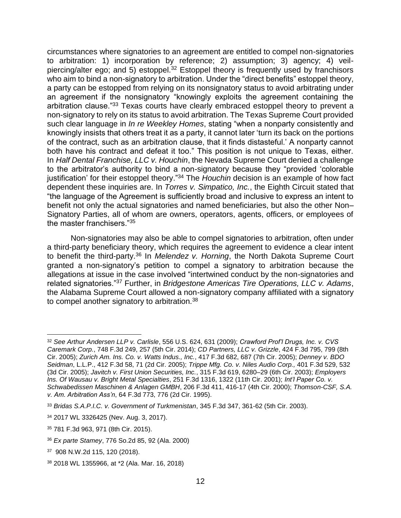circumstances where signatories to an agreement are entitled to compel non-signatories to arbitration: 1) incorporation by reference; 2) assumption; 3) agency; 4) veilpiercing/alter ego; and 5) estoppel.<sup>32</sup> Estoppel theory is frequently used by franchisors who aim to bind a non-signatory to arbitration. Under the "direct benefits" estoppel theory, a party can be estopped from relying on its nonsignatory status to avoid arbitrating under an agreement if the nonsignatory "knowingly exploits the agreement containing the arbitration clause."<sup>33</sup> Texas courts have clearly embraced estoppel theory to prevent a non-signatory to rely on its status to avoid arbitration. The Texas Supreme Court provided such clear language in *In re Weekley Homes*, stating "when a nonparty consistently and knowingly insists that others treat it as a party, it cannot later 'turn its back on the portions of the contract, such as an arbitration clause, that it finds distasteful.' A nonparty cannot both have his contract and defeat it too." This position is not unique to Texas, either. In *Half Dental Franchise, LLC v. Houchin*, the Nevada Supreme Court denied a challenge to the arbitrator's authority to bind a non-signatory because they "provided 'colorable justification' for their estoppel theory."<sup>34</sup> The *Houchin* decision is an example of how fact dependent these inquiries are. In *Torres v. Simpatico, Inc.*, the Eighth Circuit stated that "the language of the Agreement is sufficiently broad and inclusive to express an intent to benefit not only the actual signatories and named beneficiaries, but also the other Non– Signatory Parties, all of whom are owners, operators, agents, officers, or employees of the master franchisers."<sup>35</sup>

Non-signatories may also be able to compel signatories to arbitration, often under a third-party beneficiary theory, which requires the agreement to evidence a clear intent to benefit the third-party.<sup>36</sup> In *Melendez v. Horning*, the North Dakota Supreme Court granted a non-signatory's petition to compel a signatory to arbitration because the allegations at issue in the case involved "intertwined conduct by the non-signatories and related signatories."<sup>37</sup> Further, in *Bridgestone Americas Tire Operations, LLC v. Adams*, the Alabama Supreme Court allowed a non-signatory company affiliated with a signatory to compel another signatory to arbitration.<sup>38</sup>

 $\overline{a}$ <sup>32</sup> *See Arthur Andersen LLP v. Carlisle*, 556 U.S. 624, 631 (2009); *Crawford Prof'l Drugs, Inc. v. CVS Caremark Corp.*, 748 F.3d 249, 257 (5th Cir. 2014); *CD Partners, LLC v. Grizzle*, 424 F.3d 795, 799 (8th Cir. 2005); *Zurich Am. Ins. Co. v. Watts Indus., Inc.*, 417 F.3d 682, 687 (7th Cir. 2005); *Denney v. BDO Seidman*, L.L.P., 412 F.3d 58, 71 (2d Cir. 2005); *Trippe Mfg. Co. v. Niles Audio Corp.,* 401 F.3d 529, 532 (3d Cir. 2005); *Javitch v. First Union Securities, Inc.*, 315 F.3d 619, 6280–29 (6th Cir. 2003); *Employers Ins. Of Wausau v. Bright Metal Specialties*, 251 F.3d 1316, 1322 (11th Cir. 2001); *Int'l Paper Co. v. Schwabedissen Maschinen & Anlagen GMBH*, 206 F.3d 411, 416-17 (4th Cir. 2000); *Thomson-CSF, S.A. v. Am. Arbitration Ass'n*, 64 F.3d 773, 776 (2d Cir. 1995).

<sup>33</sup> *Bridas S.A.P.I.C. v. Government of Turkmenistan*, 345 F.3d 347, 361-62 (5th Cir. 2003).

<sup>34</sup> 2017 WL 3326425 (Nev. Aug. 3, 2017).

<sup>35</sup> 781 F.3d 963, 971 (8th Cir. 2015).

<sup>36</sup> *Ex parte Stamey*, 776 So.2d 85, 92 (Ala. 2000)

<sup>37</sup> 908 N.W.2d 115, 120 (2018).

<sup>38</sup> 2018 WL 1355966, at \*2 (Ala. Mar. 16, 2018)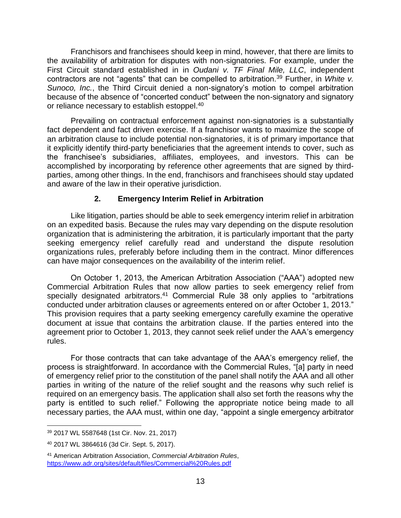Franchisors and franchisees should keep in mind, however, that there are limits to the availability of arbitration for disputes with non-signatories. For example, under the First Circuit standard established in in *Oudani v. TF Final Mile, LLC*, independent contractors are not "agents" that can be compelled to arbitration.<sup>39</sup> Further, in *White v. Sunoco, Inc.*, the Third Circuit denied a non-signatory's motion to compel arbitration because of the absence of "concerted conduct" between the non-signatory and signatory or reliance necessary to establish estoppel.<sup>40</sup>

Prevailing on contractual enforcement against non-signatories is a substantially fact dependent and fact driven exercise. If a franchisor wants to maximize the scope of an arbitration clause to include potential non-signatories, it is of primary importance that it explicitly identify third-party beneficiaries that the agreement intends to cover, such as the franchisee's subsidiaries, affiliates, employees, and investors. This can be accomplished by incorporating by reference other agreements that are signed by thirdparties, among other things. In the end, franchisors and franchisees should stay updated and aware of the law in their operative jurisdiction.

#### **2. Emergency Interim Relief in Arbitration**

<span id="page-15-0"></span>Like litigation, parties should be able to seek emergency interim relief in arbitration on an expedited basis. Because the rules may vary depending on the dispute resolution organization that is administering the arbitration, it is particularly important that the party seeking emergency relief carefully read and understand the dispute resolution organizations rules, preferably before including them in the contract. Minor differences can have major consequences on the availability of the interim relief.

On October 1, 2013, the American Arbitration Association ("AAA") adopted new Commercial Arbitration Rules that now allow parties to seek emergency relief from specially designated arbitrators.<sup>41</sup> Commercial Rule 38 only applies to "arbitrations" conducted under arbitration clauses or agreements entered on or after October 1, 2013." This provision requires that a party seeking emergency carefully examine the operative document at issue that contains the arbitration clause. If the parties entered into the agreement prior to October 1, 2013, they cannot seek relief under the AAA's emergency rules.

For those contracts that can take advantage of the AAA's emergency relief, the process is straightforward. In accordance with the Commercial Rules, "[a] party in need of emergency relief prior to the constitution of the panel shall notify the AAA and all other parties in writing of the nature of the relief sought and the reasons why such relief is required on an emergency basis. The application shall also set forth the reasons why the party is entitled to such relief." Following the appropriate notice being made to all necessary parties, the AAA must, within one day, "appoint a single emergency arbitrator

<sup>39</sup> 2017 WL 5587648 (1st Cir. Nov. 21, 2017)

<sup>40</sup> 2017 WL 3864616 (3d Cir. Sept. 5, 2017).

<sup>41</sup> American Arbitration Association, *Commercial Arbitration Rules*, <https://www.adr.org/sites/default/files/Commercial%20Rules.pdf>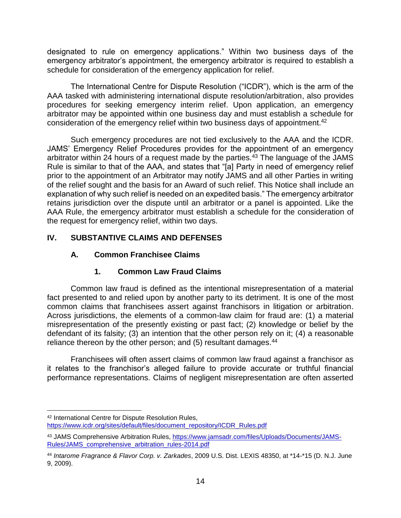designated to rule on emergency applications." Within two business days of the emergency arbitrator's appointment, the emergency arbitrator is required to establish a schedule for consideration of the emergency application for relief.

The International Centre for Dispute Resolution ("ICDR"), which is the arm of the AAA tasked with administering international dispute resolution/arbitration, also provides procedures for seeking emergency interim relief. Upon application, an emergency arbitrator may be appointed within one business day and must establish a schedule for consideration of the emergency relief within two business days of appointment.<sup>42</sup>

Such emergency procedures are not tied exclusively to the AAA and the ICDR. JAMS' Emergency Relief Procedures provides for the appointment of an emergency arbitrator within 24 hours of a request made by the parties.<sup>43</sup> The language of the JAMS Rule is similar to that of the AAA, and states that "[a] Party in need of emergency relief prior to the appointment of an Arbitrator may notify JAMS and all other Parties in writing of the relief sought and the basis for an Award of such relief. This Notice shall include an explanation of why such relief is needed on an expedited basis." The emergency arbitrator retains jurisdiction over the dispute until an arbitrator or a panel is appointed. Like the AAA Rule, the emergency arbitrator must establish a schedule for the consideration of the request for emergency relief, within two days.

# <span id="page-16-1"></span><span id="page-16-0"></span>**IV. SUBSTANTIVE CLAIMS AND DEFENSES**

## **A. Common Franchisee Claims**

# **1. Common Law Fraud Claims**

<span id="page-16-2"></span>Common law fraud is defined as the intentional misrepresentation of a material fact presented to and relied upon by another party to its detriment. It is one of the most common claims that franchisees assert against franchisors in litigation or arbitration. Across jurisdictions, the elements of a common-law claim for fraud are: (1) a material misrepresentation of the presently existing or past fact; (2) knowledge or belief by the defendant of its falsity; (3) an intention that the other person rely on it; (4) a reasonable reliance thereon by the other person; and (5) resultant damages.<sup>44</sup>

Franchisees will often assert claims of common law fraud against a franchisor as it relates to the franchisor's alleged failure to provide accurate or truthful financial performance representations. Claims of negligent misrepresentation are often asserted

 $\overline{a}$ <sup>42</sup> International Centre for Dispute Resolution Rules, [https://www.icdr.org/sites/default/files/document\\_repository/ICDR\\_Rules.pdf](https://www.icdr.org/sites/default/files/document_repository/ICDR_Rules.pdf)

<sup>43</sup> JAMS Comprehensive Arbitration Rules, [https://www.jamsadr.com/files/Uploads/Documents/JAMS-](https://www.jamsadr.com/files/Uploads/Documents/JAMS-Rules/JAMS_comprehensive_arbitration_rules-2014.pdf)[Rules/JAMS\\_comprehensive\\_arbitration\\_rules-2014.pdf](https://www.jamsadr.com/files/Uploads/Documents/JAMS-Rules/JAMS_comprehensive_arbitration_rules-2014.pdf)

<sup>44</sup> *Intarome Fragrance & Flavor Corp. v. Zarkades*, 2009 U.S. Dist. LEXIS 48350, at \*14-\*15 (D. N.J. June 9, 2009).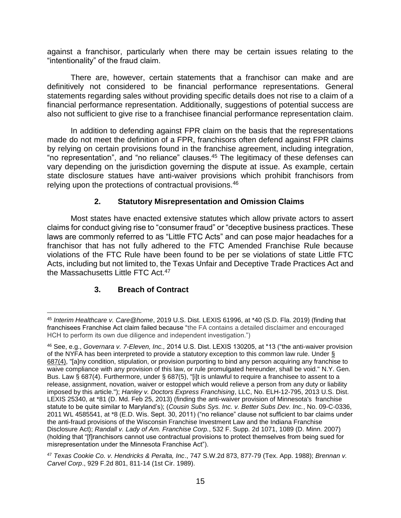against a franchisor, particularly when there may be certain issues relating to the "intentionality" of the fraud claim.

There are, however, certain statements that a franchisor can make and are definitively not considered to be financial performance representations. General statements regarding sales without providing specific details does not rise to a claim of a financial performance representation. Additionally, suggestions of potential success are also not sufficient to give rise to a franchisee financial performance representation claim.

In addition to defending against FPR claim on the basis that the representations made do not meet the definition of a FPR, franchisors often defend against FPR claims by relying on certain provisions found in the franchise agreement, including integration, "no representation", and "no reliance" clauses.<sup>45</sup> The legitimacy of these defenses can vary depending on the jurisdiction governing the dispute at issue. As example, certain state disclosure statues have anti-waiver provisions which prohibit franchisors from relying upon the protections of contractual provisions.<sup>46</sup>

#### **2. Statutory Misrepresentation and Omission Claims**

<span id="page-17-0"></span>Most states have enacted extensive statutes which allow private actors to assert claims for conduct giving rise to "consumer fraud" or "deceptive business practices. These laws are commonly referred to as "Little FTC Acts" and can pose major headaches for a franchisor that has not fully adhered to the FTC Amended Franchise Rule because violations of the FTC Rule have been found to be per se violations of state Little FTC Acts, including but not limited to, the Texas Unfair and Deceptive Trade Practices Act and the Massachusetts Little FTC Act.<sup>47</sup>

## **3. Breach of Contract**

<span id="page-17-1"></span><sup>45</sup> *Interim Healthcare v. Care@home*, 2019 U.S. Dist. LEXIS 61996, at \*40 (S.D. Fla. 2019) (finding that franchisees Franchise Act claim failed because "the FA contains a detailed disclaimer and encouraged HCH to perform its own due diligence and independent investigation.")

<sup>46</sup> See, e.g., *Governara v. 7-Eleven, Inc.,* 2014 U.S. Dist. LEXIS 130205, at \*13 ("the anti-waiver provision of the NYFA has been interpreted to provide a statutory exception to this common law rule. Under [§](https://advance.lexis.com/document/?pdmfid=1000516&crid=8dff333c-82b8-4426-ad9f-2af2c477b563&pddocfullpath=%2Fshared%2Fdocument%2Fcases%2Furn%3AcontentItem%3A5D4Y-06F1-F04F-031V-00000-00&pddocid=urn%3AcontentItem%3A5D4Y-06F1-F04F-031V-00000-00&pdcontentcomponentid=6412&pdshepid=urn%3AcontentItem%3A5D4Y-1JH1-DXC8-70TS-00000-00&pdteaserkey=sr1&pditab=allpods&ecomp=1yrLk&earg=sr1&prid=3ae98a56-8dcf-478a-9469-f2bccc180185)  [687\(4\),](https://advance.lexis.com/document/?pdmfid=1000516&crid=8dff333c-82b8-4426-ad9f-2af2c477b563&pddocfullpath=%2Fshared%2Fdocument%2Fcases%2Furn%3AcontentItem%3A5D4Y-06F1-F04F-031V-00000-00&pddocid=urn%3AcontentItem%3A5D4Y-06F1-F04F-031V-00000-00&pdcontentcomponentid=6412&pdshepid=urn%3AcontentItem%3A5D4Y-1JH1-DXC8-70TS-00000-00&pdteaserkey=sr1&pditab=allpods&ecomp=1yrLk&earg=sr1&prid=3ae98a56-8dcf-478a-9469-f2bccc180185) "[a]ny condition, stipulation, or provision purporting to bind any person acquiring any franchise to waive compliance with any provision of this law, or rule promulgated hereunder, shall be void." N.Y. Gen. Bus. Law § 687(4). Furthermore, under § 687(5), "[i]t is unlawful to require a franchisee to assent to a release, assignment, novation, waiver or estoppel which would relieve a person from any duty or liability imposed by this article."); *Hanley v. Doctors Express Franchising*, LLC, No. ELH-12-795, 2013 U.S. Dist. LEXIS 25340, at \*81 (D. Md. Feb 25, 2013) (finding the anti-waiver provision of Minnesota's franchise statute to be quite similar to Maryland's); (*Cousin Subs Sys. Inc. v. Better Subs Dev. Inc.*, No. 09-C-0336, 2011 WL 4585541, at \*8 (E.D. Wis. Sept. 30, 2011) ("no reliance" clause not sufficient to bar claims under the anti-fraud provisions of the Wisconsin Franchise Investment Law and the Indiana Franchise Disclosure Act); *Randall v. Lady of Am. Franchise Corp.*, 532 F. Supp. 2d 1071, 1089 (D. Minn. 2007) (holding that "[f]ranchisors cannot use contractual provisions to protect themselves from being sued for misrepresentation under the Minnesota Franchise Act").

<sup>47</sup> *Texas Cookie Co. v. Hendricks & Peralta, Inc*., 747 S.W.2d 873, 877-79 (Tex. App. 1988); *Brennan v. Carvel Corp*., 929 F.2d 801, 811-14 (1st Cir. 1989).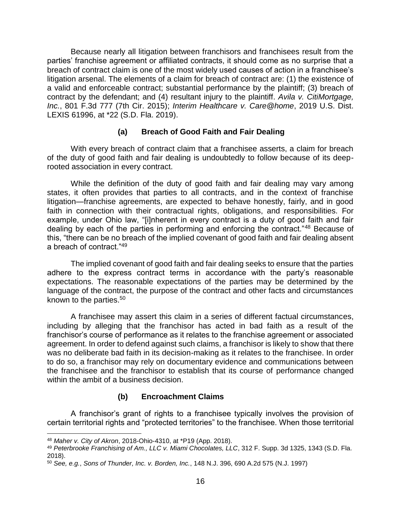Because nearly all litigation between franchisors and franchisees result from the parties' franchise agreement or affiliated contracts, it should come as no surprise that a breach of contract claim is one of the most widely used causes of action in a franchisee's litigation arsenal. The elements of a claim for breach of contract are: (1) the existence of a valid and enforceable contract; substantial performance by the plaintiff; (3) breach of contract by the defendant; and (4) resultant injury to the plaintiff. *Avila v. CitiMortgage, Inc.*, 801 F.3d 777 (7th Cir. 2015); *Interim Healthcare v. Care@home*, 2019 U.S. Dist. LEXIS 61996, at \*22 (S.D. Fla. 2019).

#### **(a) Breach of Good Faith and Fair Dealing**

<span id="page-18-0"></span>With every breach of contract claim that a franchisee asserts, a claim for breach of the duty of good faith and fair dealing is undoubtedly to follow because of its deeprooted association in every contract.

While the definition of the duty of good faith and fair dealing may vary among states, it often provides that parties to all contracts, and in the context of franchise litigation—franchise agreements, are expected to behave honestly, fairly, and in good faith in connection with their contractual rights, obligations, and responsibilities. For example, under Ohio law, "[i]nherent in every contract is a duty of good faith and fair dealing by each of the parties in performing and enforcing the contract."<sup>48</sup> Because of this, "there can be no breach of the implied covenant of good faith and fair dealing absent a breach of contract."<sup>49</sup>

The implied covenant of good faith and fair dealing seeks to ensure that the parties adhere to the express contract terms in accordance with the party's reasonable expectations. The reasonable expectations of the parties may be determined by the language of the contract, the purpose of the contract and other facts and circumstances known to the parties.<sup>50</sup>

A franchisee may assert this claim in a series of different factual circumstances, including by alleging that the franchisor has acted in bad faith as a result of the franchisor's course of performance as it relates to the franchise agreement or associated agreement. In order to defend against such claims, a franchisor is likely to show that there was no deliberate bad faith in its decision-making as it relates to the franchisee. In order to do so, a franchisor may rely on documentary evidence and communications between the franchisee and the franchisor to establish that its course of performance changed within the ambit of a business decision.

#### **(b) Encroachment Claims**

<span id="page-18-1"></span>A franchisor's grant of rights to a franchisee typically involves the provision of certain territorial rights and "protected territories" to the franchisee. When those territorial

<sup>48</sup> *Maher v. City of Akron*, 2018-Ohio-4310, at \*P19 (App. 2018).

<sup>49</sup> *Peterbrooke Franchising of Am., LLC v. Miami Chocolates, LLC*, 312 F. Supp. 3d 1325, 1343 (S.D. Fla. 2018).

<sup>50</sup> *See, e.g.*, *Sons of Thunder, Inc. v. Borden, Inc.*, 148 N.J. 396, 690 A.2d 575 (N.J. 1997)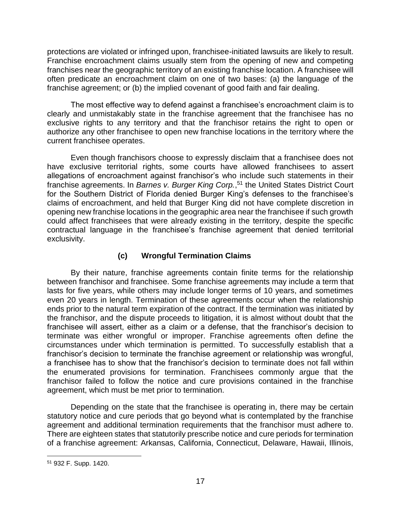protections are violated or infringed upon, franchisee-initiated lawsuits are likely to result. Franchise encroachment claims usually stem from the opening of new and competing franchises near the geographic territory of an existing franchise location. A franchisee will often predicate an encroachment claim on one of two bases: (a) the language of the franchise agreement; or (b) the implied covenant of good faith and fair dealing.

The most effective way to defend against a franchisee's encroachment claim is to clearly and unmistakably state in the franchise agreement that the franchisee has no exclusive rights to any territory and that the franchisor retains the right to open or authorize any other franchisee to open new franchise locations in the territory where the current franchisee operates.

Even though franchisors choose to expressly disclaim that a franchisee does not have exclusive territorial rights, some courts have allowed franchisees to assert allegations of encroachment against franchisor's who include such statements in their franchise agreements. In *Barnes v. Burger King Corp.*, <sup>51</sup> the United States District Court for the Southern District of Florida denied Burger King's defenses to the franchisee's claims of encroachment, and held that Burger King did not have complete discretion in opening new franchise locations in the geographic area near the franchisee if such growth could affect franchisees that were already existing in the territory, despite the specific contractual language in the franchisee's franchise agreement that denied territorial exclusivity.

## **(c) Wrongful Termination Claims**

<span id="page-19-0"></span>By their nature, franchise agreements contain finite terms for the relationship between franchisor and franchisee. Some franchise agreements may include a term that lasts for five years, while others may include longer terms of 10 years, and sometimes even 20 years in length. Termination of these agreements occur when the relationship ends prior to the natural term expiration of the contract. If the termination was initiated by the franchisor, and the dispute proceeds to litigation, it is almost without doubt that the franchisee will assert, either as a claim or a defense, that the franchisor's decision to terminate was either wrongful or improper. Franchise agreements often define the circumstances under which termination is permitted. To successfully establish that a franchisor's decision to terminate the franchise agreement or relationship was wrongful, a franchisee has to show that the franchisor's decision to terminate does not fall within the enumerated provisions for termination. Franchisees commonly argue that the franchisor failed to follow the notice and cure provisions contained in the franchise agreement, which must be met prior to termination.

Depending on the state that the franchisee is operating in, there may be certain statutory notice and cure periods that go beyond what is contemplated by the franchise agreement and additional termination requirements that the franchisor must adhere to. There are eighteen states that statutorily prescribe notice and cure periods for termination of a franchise agreement: Arkansas, California, Connecticut, Delaware, Hawaii, Illinois,

<sup>51</sup> 932 F. Supp. 1420.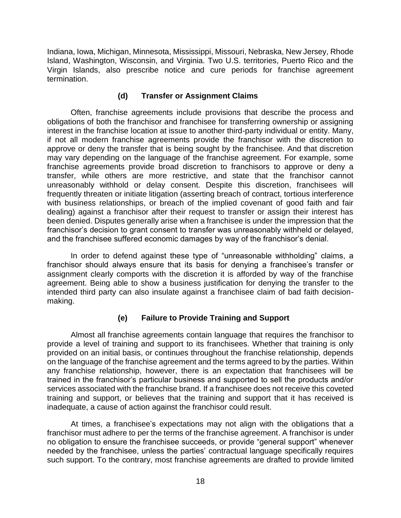Indiana, Iowa, Michigan, Minnesota, Mississippi, Missouri, Nebraska, New Jersey, Rhode Island, Washington, Wisconsin, and Virginia. Two U.S. territories, Puerto Rico and the Virgin Islands, also prescribe notice and cure periods for franchise agreement termination.

#### **(d) Transfer or Assignment Claims**

<span id="page-20-0"></span>Often, franchise agreements include provisions that describe the process and obligations of both the franchisor and franchisee for transferring ownership or assigning interest in the franchise location at issue to another third-party individual or entity. Many, if not all modern franchise agreements provide the franchisor with the discretion to approve or deny the transfer that is being sought by the franchisee. And that discretion may vary depending on the language of the franchise agreement. For example, some franchise agreements provide broad discretion to franchisors to approve or deny a transfer, while others are more restrictive, and state that the franchisor cannot unreasonably withhold or delay consent. Despite this discretion, franchisees will frequently threaten or initiate litigation (asserting breach of contract, tortious interference with business relationships, or breach of the implied covenant of good faith and fair dealing) against a franchisor after their request to transfer or assign their interest has been denied. Disputes generally arise when a franchisee is under the impression that the franchisor's decision to grant consent to transfer was unreasonably withheld or delayed, and the franchisee suffered economic damages by way of the franchisor's denial.

In order to defend against these type of "unreasonable withholding" claims, a franchisor should always ensure that its basis for denying a franchisee's transfer or assignment clearly comports with the discretion it is afforded by way of the franchise agreement. Being able to show a business justification for denying the transfer to the intended third party can also insulate against a franchisee claim of bad faith decisionmaking.

## **(e) Failure to Provide Training and Support**

<span id="page-20-1"></span>Almost all franchise agreements contain language that requires the franchisor to provide a level of training and support to its franchisees. Whether that training is only provided on an initial basis, or continues throughout the franchise relationship, depends on the language of the franchise agreement and the terms agreed to by the parties. Within any franchise relationship, however, there is an expectation that franchisees will be trained in the franchisor's particular business and supported to sell the products and/or services associated with the franchise brand. If a franchisee does not receive this coveted training and support, or believes that the training and support that it has received is inadequate, a cause of action against the franchisor could result.

At times, a franchisee's expectations may not align with the obligations that a franchisor must adhere to per the terms of the franchise agreement. A franchisor is under no obligation to ensure the franchisee succeeds, or provide "general support" whenever needed by the franchisee, unless the parties' contractual language specifically requires such support. To the contrary, most franchise agreements are drafted to provide limited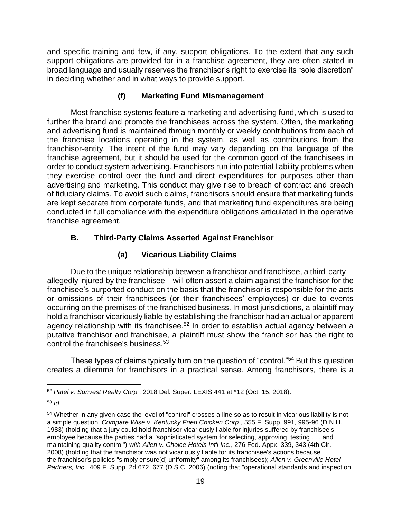and specific training and few, if any, support obligations. To the extent that any such support obligations are provided for in a franchise agreement, they are often stated in broad language and usually reserves the franchisor's right to exercise its "sole discretion" in deciding whether and in what ways to provide support.

## **(f) Marketing Fund Mismanagement**

<span id="page-21-0"></span>Most franchise systems feature a marketing and advertising fund, which is used to further the brand and promote the franchisees across the system. Often, the marketing and advertising fund is maintained through monthly or weekly contributions from each of the franchise locations operating in the system, as well as contributions from the franchisor-entity. The intent of the fund may vary depending on the language of the franchise agreement, but it should be used for the common good of the franchisees in order to conduct system advertising. Franchisors run into potential liability problems when they exercise control over the fund and direct expenditures for purposes other than advertising and marketing. This conduct may give rise to breach of contract and breach of fiduciary claims. To avoid such claims, franchisors should ensure that marketing funds are kept separate from corporate funds, and that marketing fund expenditures are being conducted in full compliance with the expenditure obligations articulated in the operative franchise agreement.

# <span id="page-21-1"></span>**B. Third-Party Claims Asserted Against Franchisor**

# **(a) Vicarious Liability Claims**

<span id="page-21-2"></span>Due to the unique relationship between a franchisor and franchisee, a third-party allegedly injured by the franchisee—will often assert a claim against the franchisor for the franchisee's purported conduct on the basis that the franchisor is responsible for the acts or omissions of their franchisees (or their franchisees' employees) or due to events occurring on the premises of the franchised business. In most jurisdictions, a plaintiff may hold a franchisor vicariously liable by establishing the franchisor had an actual or apparent agency relationship with its franchisee.<sup>52</sup> In order to establish actual agency between a putative franchisor and franchisee, a plaintiff must show the franchisor has the right to control the franchisee's business.<sup>53</sup>

These types of claims typically turn on the question of "control."<sup>54</sup> But this question creates a dilemma for franchisors in a practical sense. Among franchisors, there is a

 $\overline{a}$ <sup>52</sup> *Patel v. Sunvest Realty Corp.*, 2018 Del. Super. LEXIS 441 at \*12 (Oct. 15, 2018).

<sup>53</sup> *Id*.

<sup>54</sup> Whether in any given case the level of "control" crosses a line so as to result in vicarious liability is not a simple question. *Compare Wise v. Kentucky Fried Chicken Corp.*, 555 F. Supp. 991, 995-96 (D.N.H. 1983) (holding that a jury could hold franchisor vicariously liable for injuries suffered by franchisee's employee because the parties had a "sophisticated system for selecting, approving, testing . . . and maintaining quality control") *with Allen v. Choice Hotels Int'l Inc.*, 276 Fed. Appx. 339, 343 (4th Cir. 2008) (holding that the franchisor was not vicariously liable for its franchisee's actions because the franchisor's policies "simply ensure[d] uniformity" among its franchisees); *Allen v. Greenville Hotel Partners, Inc.*, 409 F. Supp. 2d 672, 677 (D.S.C. 2006) (noting that "operational standards and inspection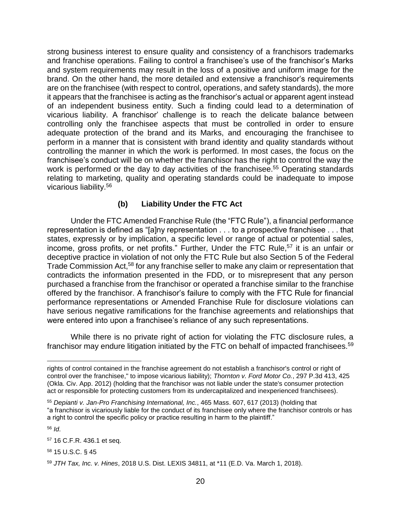strong business interest to ensure quality and consistency of a franchisors trademarks and franchise operations. Failing to control a franchisee's use of the franchisor's Marks and system requirements may result in the loss of a positive and uniform image for the brand. On the other hand, the more detailed and extensive a franchisor's requirements are on the franchisee (with respect to control, operations, and safety standards), the more it appears that the franchisee is acting as the franchisor's actual or apparent agent instead of an independent business entity. Such a finding could lead to a determination of vicarious liability. A franchisor' challenge is to reach the delicate balance between controlling only the franchisee aspects that must be controlled in order to ensure adequate protection of the brand and its Marks, and encouraging the franchisee to perform in a manner that is consistent with brand identity and quality standards without controlling the manner in which the work is performed. In most cases, the focus on the franchisee's conduct will be on whether the franchisor has the right to control the way the work is performed or the day to day activities of the franchisee.<sup>55</sup> Operating standards relating to marketing, quality and operating standards could be inadequate to impose vicarious liability.<sup>56</sup>

#### **(b) Liability Under the FTC Act**

<span id="page-22-0"></span>Under the FTC Amended Franchise Rule (the "FTC Rule"), a financial performance representation is defined as "[a]ny representation . . . to a prospective franchisee . . . that states, expressly or by implication, a specific level or range of actual or potential sales, income, gross profits, or net profits." Further, Under the FTC Rule, <sup>57</sup> it is an unfair or deceptive practice in violation of not only the FTC Rule but also Section 5 of the Federal Trade Commission Act,<sup>58</sup> for any franchise seller to make any claim or representation that contradicts the information presented in the FDD, or to misrepresent that any person purchased a franchise from the franchisor or operated a franchise similar to the franchise offered by the franchisor. A franchisor's failure to comply with the FTC Rule for financial performance representations or Amended Franchise Rule for disclosure violations can have serious negative ramifications for the franchise agreements and relationships that were entered into upon a franchisee's reliance of any such representations.

While there is no private right of action for violating the FTC disclosure rules, a franchisor may endure litigation initiated by the FTC on behalf of impacted franchisees.<sup>59</sup>

<sup>56</sup> *Id*.

rights of control contained in the franchise agreement do not establish a franchisor's control or right of control over the franchisee," to impose vicarious liability); *Thornton v. Ford Motor Co.*, 297 P.3d 413, 425 (Okla. Civ. App. 2012) (holding that the franchisor was not liable under the state's consumer protection act or responsible for protecting customers from its undercapitalized and inexperienced franchisees).

<sup>55</sup> *Depianti v. Jan-Pro Franchising International, Inc.*, 465 Mass. 607, 617 (2013) (holding that "a franchisor is vicariously liable for the conduct of its franchisee only where the franchisor controls or has a right to control the specific policy or practice resulting in harm to the plaintiff."

<sup>57</sup> 16 C.F.R. 436.1 et seq.

<sup>58</sup> 15 U.S.C. § 45

<sup>59</sup> *JTH Tax, Inc. v. Hines*, 2018 U.S. Dist. LEXIS 34811, at \*11 (E.D. Va. March 1, 2018).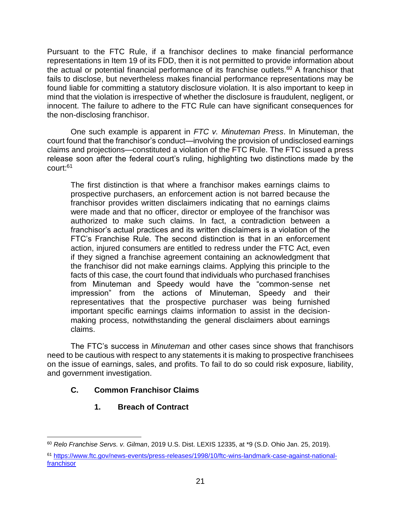Pursuant to the FTC Rule, if a franchisor declines to make financial performance representations in Item 19 of its FDD, then it is not permitted to provide information about the actual or potential financial performance of its franchise outlets.<sup>60</sup> A franchisor that fails to disclose, but nevertheless makes financial performance representations may be found liable for committing a statutory disclosure violation. It is also important to keep in mind that the violation is irrespective of whether the disclosure is fraudulent, negligent, or innocent. The failure to adhere to the FTC Rule can have significant consequences for the non-disclosing franchisor.

One such example is apparent in *FTC v. Minuteman Press*. In Minuteman, the court found that the franchisor's conduct—involving the provision of undisclosed earnings claims and projections—constituted a violation of the FTC Rule. The FTC issued a press release soon after the federal court's ruling, highlighting two distinctions made by the court:<sup>61</sup>

The first distinction is that where a franchisor makes earnings claims to prospective purchasers, an enforcement action is not barred because the franchisor provides written disclaimers indicating that no earnings claims were made and that no officer, director or employee of the franchisor was authorized to make such claims. In fact, a contradiction between a franchisor's actual practices and its written disclaimers is a violation of the FTC's Franchise Rule. The second distinction is that in an enforcement action, injured consumers are entitled to redress under the FTC Act, even if they signed a franchise agreement containing an acknowledgment that the franchisor did not make earnings claims. Applying this principle to the facts of this case, the court found that individuals who purchased franchises from Minuteman and Speedy would have the "common-sense net impression" from the actions of Minuteman, Speedy and their representatives that the prospective purchaser was being furnished important specific earnings claims information to assist in the decisionmaking process, notwithstanding the general disclaimers about earnings claims.

The FTC's success in *Minuteman* and other cases since shows that franchisors need to be cautious with respect to any statements it is making to prospective franchisees on the issue of earnings, sales, and profits. To fail to do so could risk exposure, liability, and government investigation.

## <span id="page-23-1"></span><span id="page-23-0"></span>**C. Common Franchisor Claims**

**1. Breach of Contract**

 $\overline{a}$ <sup>60</sup> *Relo Franchise Servs. v. Gilman*, 2019 U.S. Dist. LEXIS 12335, at \*9 (S.D. Ohio Jan. 25, 2019).

<sup>61</sup> [https://www.ftc.gov/news-events/press-releases/1998/10/ftc-wins-landmark-case-against-national](https://www.ftc.gov/news-events/press-releases/1998/10/ftc-wins-landmark-case-against-national-franchisor)**[franchisor](https://www.ftc.gov/news-events/press-releases/1998/10/ftc-wins-landmark-case-against-national-franchisor)**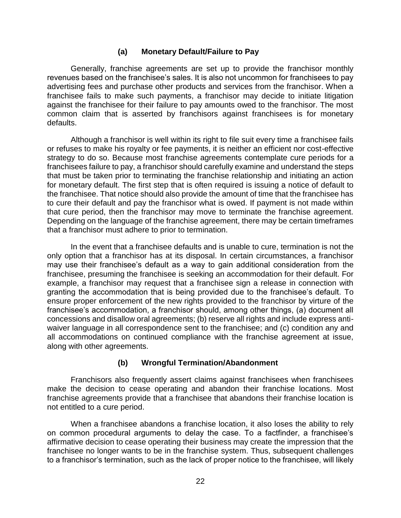#### **(a) Monetary Default/Failure to Pay**

<span id="page-24-0"></span>Generally, franchise agreements are set up to provide the franchisor monthly revenues based on the franchisee's sales. It is also not uncommon for franchisees to pay advertising fees and purchase other products and services from the franchisor. When a franchisee fails to make such payments, a franchisor may decide to initiate litigation against the franchisee for their failure to pay amounts owed to the franchisor. The most common claim that is asserted by franchisors against franchisees is for monetary defaults.

Although a franchisor is well within its right to file suit every time a franchisee fails or refuses to make his royalty or fee payments, it is neither an efficient nor cost-effective strategy to do so. Because most franchise agreements contemplate cure periods for a franchisees failure to pay, a franchisor should carefully examine and understand the steps that must be taken prior to terminating the franchise relationship and initiating an action for monetary default. The first step that is often required is issuing a notice of default to the franchisee. That notice should also provide the amount of time that the franchisee has to cure their default and pay the franchisor what is owed. If payment is not made within that cure period, then the franchisor may move to terminate the franchise agreement. Depending on the language of the franchise agreement, there may be certain timeframes that a franchisor must adhere to prior to termination.

In the event that a franchisee defaults and is unable to cure, termination is not the only option that a franchisor has at its disposal. In certain circumstances, a franchisor may use their franchisee's default as a way to gain additional consideration from the franchisee, presuming the franchisee is seeking an accommodation for their default. For example, a franchisor may request that a franchisee sign a release in connection with granting the accommodation that is being provided due to the franchisee's default. To ensure proper enforcement of the new rights provided to the franchisor by virture of the franchisee's accommodation, a franchisor should, among other things, (a) document all concessions and disallow oral agreements; (b) reserve all rights and include express antiwaiver language in all correspondence sent to the franchisee; and (c) condition any and all accommodations on continued compliance with the franchise agreement at issue, along with other agreements.

#### **(b) Wrongful Termination/Abandonment**

<span id="page-24-1"></span>Franchisors also frequently assert claims against franchisees when franchisees make the decision to cease operating and abandon their franchise locations. Most franchise agreements provide that a franchisee that abandons their franchise location is not entitled to a cure period.

When a franchisee abandons a franchise location, it also loses the ability to rely on common procedural arguments to delay the case. To a factfinder, a franchisee's affirmative decision to cease operating their business may create the impression that the franchisee no longer wants to be in the franchise system. Thus, subsequent challenges to a franchisor's termination, such as the lack of proper notice to the franchisee, will likely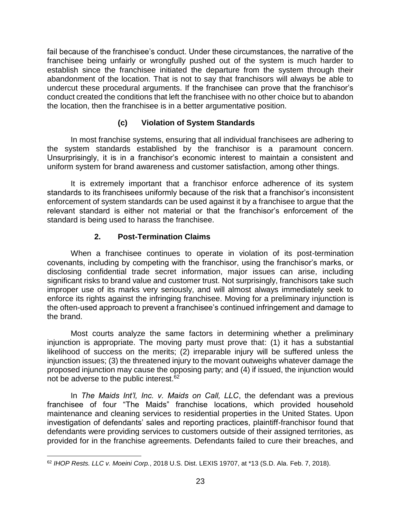fail because of the franchisee's conduct. Under these circumstances, the narrative of the franchisee being unfairly or wrongfully pushed out of the system is much harder to establish since the franchisee initiated the departure from the system through their abandonment of the location. That is not to say that franchisors will always be able to undercut these procedural arguments. If the franchisee can prove that the franchisor's conduct created the conditions that left the franchisee with no other choice but to abandon the location, then the franchisee is in a better argumentative position.

## **(c) Violation of System Standards**

<span id="page-25-0"></span>In most franchise systems, ensuring that all individual franchisees are adhering to the system standards established by the franchisor is a paramount concern. Unsurprisingly, it is in a franchisor's economic interest to maintain a consistent and uniform system for brand awareness and customer satisfaction, among other things.

It is extremely important that a franchisor enforce adherence of its system standards to its franchisees uniformly because of the risk that a franchisor's inconsistent enforcement of system standards can be used against it by a franchisee to argue that the relevant standard is either not material or that the franchisor's enforcement of the standard is being used to harass the franchisee.

#### **2. Post-Termination Claims**

<span id="page-25-1"></span>When a franchisee continues to operate in violation of its post-termination covenants, including by competing with the franchisor, using the franchisor's marks, or disclosing confidential trade secret information, major issues can arise, including significant risks to brand value and customer trust. Not surprisingly, franchisors take such improper use of its marks very seriously, and will almost always immediately seek to enforce its rights against the infringing franchisee. Moving for a preliminary injunction is the often-used approach to prevent a franchisee's continued infringement and damage to the brand.

Most courts analyze the same factors in determining whether a preliminary injunction is appropriate. The moving party must prove that: (1) it has a substantial likelihood of success on the merits; (2) irreparable injury will be suffered unless the injunction issues; (3) the threatened injury to the movant outweighs whatever damage the proposed injunction may cause the opposing party; and (4) if issued, the injunction would not be adverse to the public interest.<sup>62</sup>

In *The Maids Int'l, Inc. v. Maids on Call, LLC*, the defendant was a previous franchisee of four "The Maids" franchise locations, which provided household maintenance and cleaning services to residential properties in the United States. Upon investigation of defendants' sales and reporting practices, plaintiff-franchisor found that defendants were providing services to customers outside of their assigned territories, as provided for in the franchise agreements. Defendants failed to cure their breaches, and

 $\overline{a}$ <sup>62</sup> *IHOP Rests. LLC v. Moeini Corp.*, 2018 U.S. Dist. LEXIS 19707, at \*13 (S.D. Ala. Feb. 7, 2018).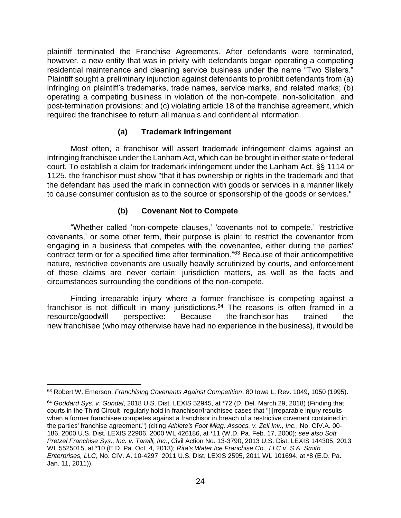plaintiff terminated the Franchise Agreements. After defendants were terminated, however, a new entity that was in privity with defendants began operating a competing residential maintenance and cleaning service business under the name "Two Sisters." Plaintiff sought a preliminary injunction against defendants to prohibit defendants from (a) infringing on plaintiff's trademarks, trade names, service marks, and related marks; (b) operating a competing business in violation of the non-compete, non-solicitation, and post-termination provisions; and (c) violating article 18 of the franchise agreement, which required the franchisee to return all manuals and confidential information.

#### **(a) Trademark Infringement**

<span id="page-26-0"></span>Most often, a franchisor will assert trademark infringement claims against an infringing franchisee under the Lanham Act, which can be brought in either state or federal court. To establish a claim for trademark infringement under the Lanham Act, §§ 1114 or 1125, the franchisor must show "that it has ownership or rights in the trademark and that the defendant has used the mark in connection with goods or services in a manner likely to cause consumer confusion as to the source or sponsorship of the goods or services."

#### **(b) Covenant Not to Compete**

<span id="page-26-1"></span>"Whether called 'non-compete clauses,' 'covenants not to compete,' 'restrictive covenants,' or some other term, their purpose is plain: to restrict the covenantor from engaging in a business that competes with the covenantee, either during the parties' contract term or for a specified time after termination." <sup>63</sup> Because of their anticompetitive nature, restrictive covenants are usually heavily scrutinized by courts, and enforcement of these claims are never certain; jurisdiction matters, as well as the facts and circumstances surrounding the conditions of the non-compete.

Finding irreparable injury where a former franchisee is competing against a franchisor is not difficult in many jurisdictions.<sup>64</sup> The reasons is often framed in a resource/goodwill perspective: Because the franchisor has trained the new franchisee (who may otherwise have had no experience in the business), it would be

<sup>63</sup> Robert W. Emerson, *Franchising Covenants Against Competition*, 80 Iowa L. Rev. 1049, 1050 (1995).

<sup>64</sup> *Goddard Sys. v. Gondal*, 2018 U.S. Dist. LEXIS 52945, at \*72 (D. Del. March 29, 2018) (Finding that courts in the Third Circuit "regularly hold in franchisor/franchisee cases that "[i]rreparable injury results when a former franchisee competes against a franchisor in breach of a restrictive covenant contained in the parties' franchise agreement.") (citing *Athlete's Foot Mktg. Assocs. v. Zell Inv., Inc.*, No. CIV.A. 00- 186, 2000 U.S. Dist. LEXIS 22906, 2000 WL 426186, at \*11 (W.D. Pa. Feb. 17, 2000); *see also Soft Pretzel Franchise Sys., Inc. v. Taralli, Inc.*, Civil Action No. 13-3790, 2013 U.S. Dist. LEXIS 144305, 2013 WL 5525015, at \*10 (E.D. Pa. Oct. 4, 2013); *Rita's Water Ice Franchise Co., LLC v. S.A. Smith Enterprises, LLC*, No. CIV. A. 10-4297, 2011 U.S. Dist. LEXIS 2595, 2011 WL 101694, at \*8 (E.D. Pa. Jan. 11, 2011)).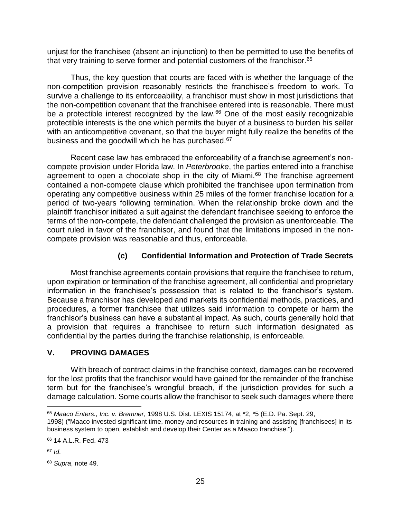unjust for the franchisee (absent an injunction) to then be permitted to use the benefits of that very training to serve former and potential customers of the franchisor.<sup>65</sup>

Thus, the key question that courts are faced with is whether the language of the non-competition provision reasonably restricts the franchisee's freedom to work. To survive a challenge to its enforceability, a franchisor must show in most jurisdictions that the non-competition covenant that the franchisee entered into is reasonable. There must be a protectible interest recognized by the law.<sup>66</sup> One of the most easily recognizable protectible interests is the one which permits the buyer of a business to burden his seller with an anticompetitive covenant, so that the buyer might fully realize the benefits of the business and the goodwill which he has purchased.<sup>67</sup>

Recent case law has embraced the enforceability of a franchise agreement's noncompete provision under Florida law. In *Peterbrooke*, the parties entered into a franchise agreement to open a chocolate shop in the city of Miami.<sup>68</sup> The franchise agreement contained a non-compete clause which prohibited the franchisee upon termination from operating any competitive business within 25 miles of the former franchise location for a period of two-years following termination. When the relationship broke down and the plaintiff franchisor initiated a suit against the defendant franchisee seeking to enforce the terms of the non-compete, the defendant challenged the provision as unenforceable. The court ruled in favor of the franchisor, and found that the limitations imposed in the noncompete provision was reasonable and thus, enforceable.

## **(c) Confidential Information and Protection of Trade Secrets**

<span id="page-27-0"></span>Most franchise agreements contain provisions that require the franchisee to return, upon expiration or termination of the franchise agreement, all confidential and proprietary information in the franchisee's possession that is related to the franchisor's system. Because a franchisor has developed and markets its confidential methods, practices, and procedures, a former franchisee that utilizes said information to compete or harm the franchisor's business can have a substantial impact. As such, courts generally hold that a provision that requires a franchisee to return such information designated as confidential by the parties during the franchise relationship, is enforceable.

#### <span id="page-27-1"></span>**V. PROVING DAMAGES**

With breach of contract claims in the franchise context, damages can be recovered for the lost profits that the franchisor would have gained for the remainder of the franchise term but for the franchisee's wrongful breach, if the jurisdiction provides for such a damage calculation. Some courts allow the franchisor to seek such damages where there

<sup>65</sup> *Maaco Enters., Inc. v. Bremner*, 1998 U.S. Dist. LEXIS 15174, at \*2, \*5 (E.D. Pa. Sept. 29, 1998) ("Maaco invested significant time, money and resources in training and assisting [franchisees] in its business system to open, establish and develop their Center as a Maaco franchise.").

<sup>66</sup> 14 A.L.R. Fed. 473

<sup>67</sup> *Id*.

<sup>68</sup> *Supra*, note 49.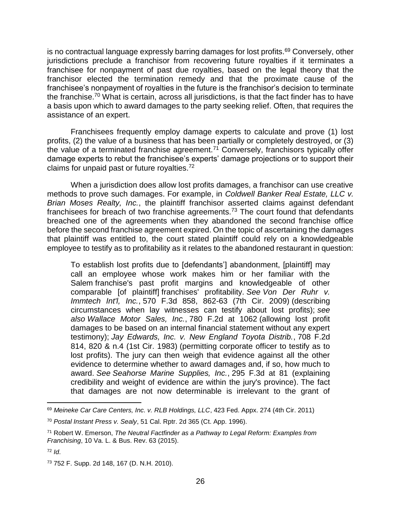is no contractual language expressly barring damages for lost profits.<sup>69</sup> Conversely, other jurisdictions preclude a franchisor from recovering future royalties if it terminates a franchisee for nonpayment of past due royalties, based on the legal theory that the franchisor elected the termination remedy and that the proximate cause of the franchisee's nonpayment of royalties in the future is the franchisor's decision to terminate the franchise.<sup>70</sup> What is certain, across all jurisdictions, is that the fact finder has to have a basis upon which to award damages to the party seeking relief. Often, that requires the assistance of an expert.

Franchisees frequently employ damage experts to calculate and prove (1) lost profits, (2) the value of a business that has been partially or completely destroyed, or (3) the value of a terminated franchise agreement.<sup>71</sup> Conversely, franchisors typically offer damage experts to rebut the franchisee's experts' damage projections or to support their claims for unpaid past or future royalties.<sup>72</sup>

When a jurisdiction does allow lost profits damages, a franchisor can use creative methods to prove such damages. For example, in *Coldwell Banker Real Estate, LLC v. Brian Moses Realty, Inc.*, the plaintiff franchisor asserted claims against defendant franchisees for breach of two franchise agreements.<sup>73</sup> The court found that defendants breached one of the agreements when they abandoned the second franchise office before the second franchise agreement expired. On the topic of ascertaining the damages that plaintiff was entitled to, the court stated plaintiff could rely on a knowledgeable employee to testify as to profitability as it relates to the abandoned restaurant in question:

To establish lost profits due to [defendants'] abandonment, [plaintiff] may call an employee whose work makes him or her familiar with the Salem franchise's past profit margins and knowledgeable of other comparable [of plaintiff] franchises' profitability. *See Von Der Ruhr v. Immtech Int'l, Inc.*, 570 F.3d 858, 862-63 (7th Cir. 2009) (describing circumstances when lay witnesses can testify about lost profits); *see also Wallace Motor Sales, Inc.*, 780 F.2d at 1062 (allowing lost profit damages to be based on an internal financial statement without any expert testimony); *Jay Edwards, Inc. v. New England Toyota Distrib.*, 708 F.2d 814, 820 & n.4 (1st Cir. 1983) (permitting corporate officer to testify as to lost profits). The jury can then weigh that evidence against all the other evidence to determine whether to award damages and, if so, how much to award. *See Seahorse Marine Supplies, Inc.*, 295 F.3d at 81 (explaining credibility and weight of evidence are within the jury's province). The fact that damages are not now determinable is irrelevant to the grant of

<sup>69</sup> *Meineke Car Care Centers, Inc. v. RLB Holdings, LLC*, 423 Fed. Appx. 274 (4th Cir. 2011)

<sup>70</sup> *Postal Instant Press v. Sealy*, 51 Cal. Rptr. 2d 365 (Ct. App. 1996).

<sup>71</sup> Robert W. Emerson, *The Neutral Factfinder as a Pathway to Legal Reform: Examples from Franchising*, 10 Va. L. & Bus. Rev. 63 (2015).

<sup>72</sup> *Id*.

<sup>73</sup> 752 F. Supp. 2d 148, 167 (D. N.H. 2010).